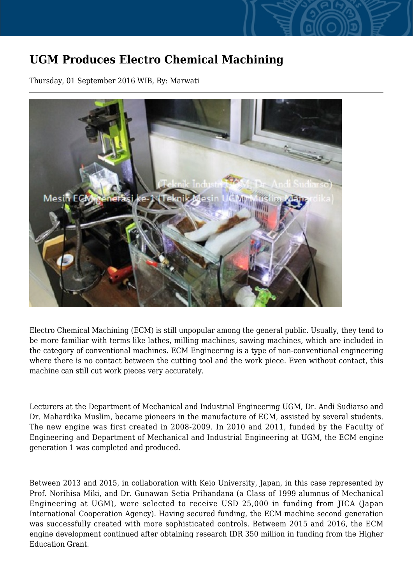## **UGM Produces Electro Chemical Machining**

Thursday, 01 September 2016 WIB, By: Marwati



Electro Chemical Machining (ECM) is still unpopular among the general public. Usually, they tend to be more familiar with terms like lathes, milling machines, sawing machines, which are included in the category of conventional machines. ECM Engineering is a type of non-conventional engineering where there is no contact between the cutting tool and the work piece. Even without contact, this machine can still cut work pieces very accurately.

Lecturers at the Department of Mechanical and Industrial Engineering UGM, Dr. Andi Sudiarso and Dr. Mahardika Muslim, became pioneers in the manufacture of ECM, assisted by several students. The new engine was first created in 2008-2009. In 2010 and 2011, funded by the Faculty of Engineering and Department of Mechanical and Industrial Engineering at UGM, the ECM engine generation 1 was completed and produced.

Between 2013 and 2015, in collaboration with Keio University, Japan, in this case represented by Prof. Norihisa Miki, and Dr. Gunawan Setia Prihandana (a Class of 1999 alumnus of Mechanical Engineering at UGM), were selected to receive USD 25,000 in funding from JICA (Japan International Cooperation Agency). Having secured funding, the ECM machine second generation was successfully created with more sophisticated controls. Betweem 2015 and 2016, the ECM engine development continued after obtaining research IDR 350 million in funding from the Higher Education Grant.